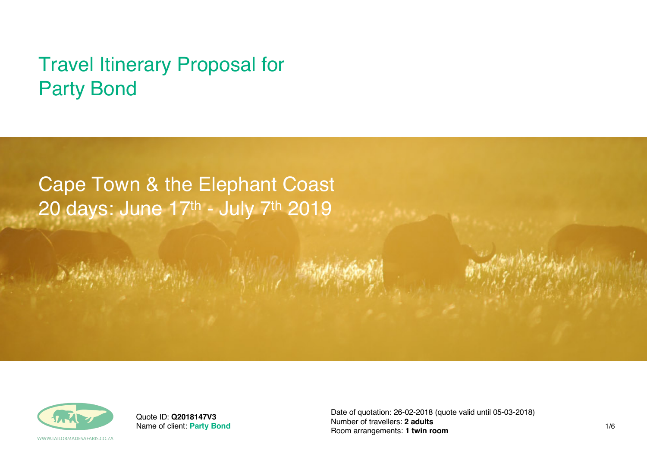# Travel Itinerary Proposal for Party Bond

# Cape Town & the Elephant Coast 20 days: June 17th - July 7th 2019



Quote ID: **Q2018147V3** Name of client: **Party Bond** Date of quotation: 26-02-2018 (quote valid until 05-03-2018) Number of travellers: **2 adults** Room arrangements: **1 twin room** 1/6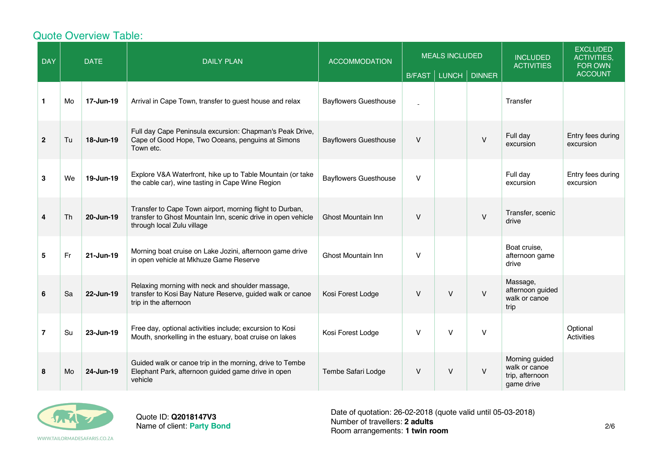# Quote Overview Table:

| <b>DAY</b>     |    | <b>DATE</b> | <b>DAILY PLAN</b>                                                                                                                                      | <b>ACCOMMODATION</b>         | <b>MEALS INCLUDED</b><br>LUNCH<br><b>DINNER</b><br><b>B/FAST</b> |              | <b>INCLUDED</b><br><b>ACTIVITIES</b> | <b>EXCLUDED</b><br><b>ACTIVITIES,</b><br>FOR OWN<br><b>ACCOUNT</b> |                                |
|----------------|----|-------------|--------------------------------------------------------------------------------------------------------------------------------------------------------|------------------------------|------------------------------------------------------------------|--------------|--------------------------------------|--------------------------------------------------------------------|--------------------------------|
| $\mathbf 1$    | Mo | 17-Jun-19   | Arrival in Cape Town, transfer to guest house and relax                                                                                                | <b>Bayflowers Guesthouse</b> |                                                                  |              |                                      | Transfer                                                           |                                |
| $\overline{2}$ | Tu | 18-Jun-19   | Full day Cape Peninsula excursion: Chapman's Peak Drive,<br>Cape of Good Hope, Two Oceans, penguins at Simons<br>Town etc.                             | <b>Bayflowers Guesthouse</b> | $\vee$                                                           |              | $\vee$                               | Full day<br>excursion                                              | Entry fees during<br>excursion |
| 3              | We | 19-Jun-19   | Explore V&A Waterfront, hike up to Table Mountain (or take<br>the cable car), wine tasting in Cape Wine Region                                         | <b>Bayflowers Guesthouse</b> | $\vee$                                                           |              |                                      | Full day<br>excursion                                              | Entry fees during<br>excursion |
| 4              | Th | 20-Jun-19   | Transfer to Cape Town airport, morning flight to Durban,<br>transfer to Ghost Mountain Inn, scenic drive in open vehicle<br>through local Zulu village | Ghost Mountain Inn           | $\vee$                                                           |              | $\vee$                               | Transfer, scenic<br>drive                                          |                                |
| 5              | Fr | 21-Jun-19   | Morning boat cruise on Lake Jozini, afternoon game drive<br>in open vehicle at Mkhuze Game Reserve                                                     | Ghost Mountain Inn           | $\vee$                                                           |              |                                      | Boat cruise,<br>afternoon game<br>drive                            |                                |
| 6              | Sa | 22-Jun-19   | Relaxing morning with neck and shoulder massage,<br>transfer to Kosi Bay Nature Reserve, guided walk or canoe<br>trip in the afternoon                 | Kosi Forest Lodge            | $\vee$                                                           | $\mathsf{V}$ | $\vee$                               | Massage,<br>afternoon guided<br>walk or canoe<br>trip              |                                |
| $\overline{7}$ | Su | 23-Jun-19   | Free day, optional activities include; excursion to Kosi<br>Mouth, snorkelling in the estuary, boat cruise on lakes                                    | Kosi Forest Lodge            | $\vee$                                                           | $\vee$       | $\vee$                               |                                                                    | Optional<br>Activities         |
| 8              | Mo | 24-Jun-19   | Guided walk or canoe trip in the morning, drive to Tembe<br>Elephant Park, afternoon guided game drive in open<br>vehicle                              | Tembe Safari Lodge           | $\vee$                                                           | $\mathsf{V}$ | $\vee$                               | Morning guided<br>walk or canoe<br>trip, afternoon<br>game drive   |                                |



Quote ID: **Q2018147V3** Name of client: **Party Bond** Date of quotation: 26-02-2018 (quote valid until 05-03-2018) Number of travellers: **2 adults** Room arrangements: **1 twin room** 2/6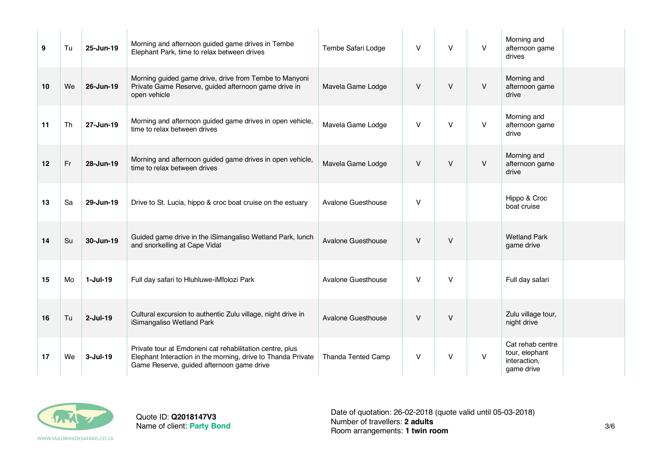| 9  | Tu | 25-Jun-19   | Morning and afternoon guided game drives in Tembe<br>Elephant Park, time to relax between drives                                                                      | Tembe Safari Lodge        | v      | $\vee$ | $\vee$ | Morning and<br>afternoon game<br>drives                          |  |
|----|----|-------------|-----------------------------------------------------------------------------------------------------------------------------------------------------------------------|---------------------------|--------|--------|--------|------------------------------------------------------------------|--|
| 10 | We | 26-Jun-19   | Morning guided game drive, drive from Tembe to Manyoni<br>Private Game Reserve, guided afternoon game drive in<br>open vehicle                                        | Mavela Game Lodge         | V      | $\vee$ | V      | Morning and<br>afternoon game<br>drive                           |  |
| 11 | Th | 27-Jun-19   | Morning and afternoon guided game drives in open vehicle,<br>time to relax between drives                                                                             | Mavela Game Lodge         | V      | $\vee$ | V      | Morning and<br>afternoon game<br>drive                           |  |
| 12 | Fr | 28-Jun-19   | Morning and afternoon guided game drives in open vehicle,<br>time to relax between drives                                                                             | Mavela Game Lodge         | V      | V      | V      | Morning and<br>afternoon game<br>drive                           |  |
| 13 | Sa | 29-Jun-19   | Drive to St. Lucia, hippo & croc boat cruise on the estuary                                                                                                           | Avalone Guesthouse        | V      |        |        | Hippo & Croc<br>boat cruise                                      |  |
| 14 | Su | 30-Jun-19   | Guided game drive in the iSimangaliso Wetland Park, lunch<br>and snorkelling at Cape Vidal                                                                            | Avalone Guesthouse        | $\vee$ | $\vee$ |        | <b>Wetland Park</b><br>game drive                                |  |
| 15 | Mo | $1-Jul-19$  | Full day safari to Hluhluwe-iMfolozi Park                                                                                                                             | Avalone Guesthouse        | V      | $\vee$ |        | Full day safari                                                  |  |
| 16 | Tu | $2$ -Jul-19 | Cultural excursion to authentic Zulu village, night drive in<br>iSimangaliso Wetland Park                                                                             | <b>Avalone Guesthouse</b> | $\vee$ | $\vee$ |        | Zulu village tour,<br>night drive                                |  |
| 17 | We | $3$ -Jul-19 | Private tour at Emdoneni cat rehabilitation centre, plus<br>Elephant Interaction in the morning, drive to Thanda Private<br>Game Reserve, guided afternoon game drive | Thanda Tented Camp        | V      | V      | V      | Cat rehab centre<br>tour, elephant<br>interaction,<br>game drive |  |



Quote ID: **Q2018147V3** Name of client: **Party Bond**

Date of quotation: 26-02-2018 (quote valid until 05-03-2018) Number of travellers: **2 adults** Room arrangements: **2 addits**<br>Room arrangements: **1 twin room** 3/6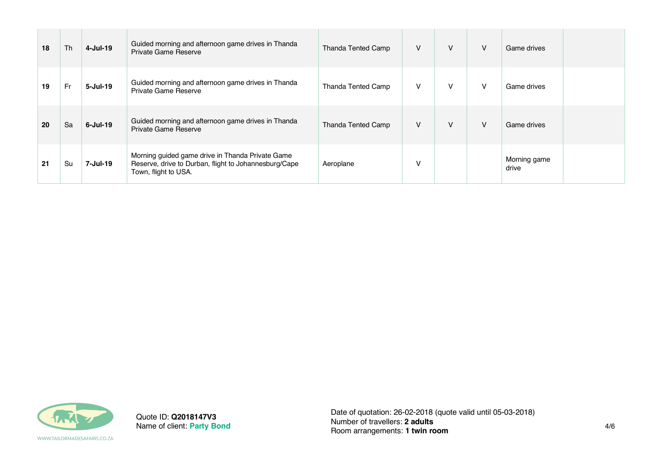| 18 | Th        | 4-Jul-19        | Guided morning and afternoon game drives in Thanda<br>Private Game Reserve                                                        | Thanda Tented Camp        | V      | v | $\vee$ | Game drives           |
|----|-----------|-----------------|-----------------------------------------------------------------------------------------------------------------------------------|---------------------------|--------|---|--------|-----------------------|
| 19 | <b>Fr</b> | $5 -$ Jul $-19$ | Guided morning and afternoon game drives in Thanda<br>Private Game Reserve                                                        | <b>Thanda Tented Camp</b> | $\vee$ | V | V      | Game drives           |
| 20 | Sa        | $6$ -Jul-19     | Guided morning and afternoon game drives in Thanda<br>Private Game Reserve                                                        | Thanda Tented Camp        | V      | v | $\vee$ | Game drives           |
| 21 | Su        | 7-Jul-19        | Morning guided game drive in Thanda Private Game<br>Reserve, drive to Durban, flight to Johannesburg/Cape<br>Town, flight to USA. | Aeroplane                 | V      |   |        | Morning game<br>drive |



Quote ID: **Q2018147V3** Name of client: **Party Bond**

WWW.TAILORMADESAFARIS.CO.ZA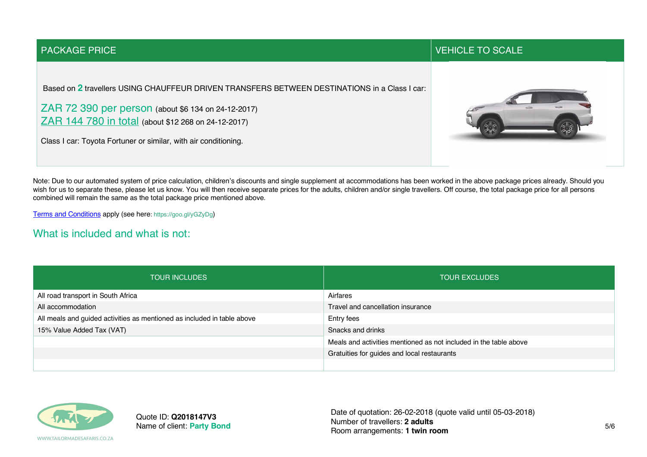#### PACKAGE PRICE TO SCALE IN A RELATION OF THE SCALE IN A RELATION OF THE SCALE IN A RELATION OF THE SCALE IN A R

Based on **2** travellers USING CHAUFFEUR DRIVEN TRANSFERS BETWEEN DESTINATIONS in a Class I car:

ZAR 72 390 per person (about \$6 134 on 24-12-2017) ZAR 144 780 in total (about \$12 268 on 24-12-2017)

Class I car: Toyota Fortuner or similar, with air conditioning.



Note: Due to our automated system of price calculation, children's discounts and single supplement at accommodations has been worked in the above package prices already. Should you wish for us to separate these, please let us know. You will then receive separate prices for the adults, children and/or single travellers. Off course, the total package price for all persons combined will remain the same as the total package price mentioned above.

Terms and Conditions apply (see here: https://goo.gl/yGZyDg)

### What is included and what is not:

| <b>TOUR INCLUDES</b>                                                    | <b>TOUR EXCLUDES</b>                                              |  |  |  |  |  |
|-------------------------------------------------------------------------|-------------------------------------------------------------------|--|--|--|--|--|
| All road transport in South Africa                                      | Airfares                                                          |  |  |  |  |  |
| All accommodation                                                       | Travel and cancellation insurance                                 |  |  |  |  |  |
| All meals and guided activities as mentioned as included in table above | Entry fees                                                        |  |  |  |  |  |
| 15% Value Added Tax (VAT)                                               | Snacks and drinks                                                 |  |  |  |  |  |
|                                                                         | Meals and activities mentioned as not included in the table above |  |  |  |  |  |
|                                                                         | Gratuities for guides and local restaurants                       |  |  |  |  |  |
|                                                                         |                                                                   |  |  |  |  |  |



Quote ID: **Q2018147V3** Name of client: **Party Bond** Date of quotation: 26-02-2018 (quote valid until 05-03-2018) Number of travellers: **2 adults** Room arrangements: **1 twin room** 5/6